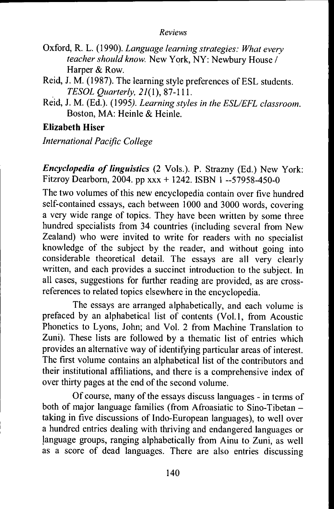### *Reviews*

- Oxford, R. L. (1990). *Language learning strategies: What every teacher should know.* New York, NY: Newbury House / Harper & Row.
- Reid, J. M. (1987). The learning style preferences of ESL students. *TESOL Quarterly, 21(1), 87-111.*
- Reid, J. M. (Ed.). (1995/ *Learning styles in the ESL/EFL classroom.* Boston, MA: Heinle & Heinle.

# **Elizabeth Hiser**

*International Paciftc College*

*Encyclopedia of linguistics (2* Vols.). P. Strazny (Ed.) New York: Fitzroy Dearborn, 2004. pp xxx + 1242. ISBN 1 -57958-450-0

The two volumes of this new encyclopedia contain over five hundred self-contained essays, each between 1000 and 3000 words, covering a very wide range of topics. They have been written by some three hundred specialists from 34 countries (including several from New Zealand) who were invited to write for readers with no specialist knowledge of the subject by the reader, and without going into considerable theoretical detail. The essays are all very elearly written, and each provides a succinct introduction to the subject. In all cases, suggestions for further reading are provided, as are crossreferenees to related topics elsewhere in the encyclopedia.

The essays are arranged alphabetically, and each volume is prefaced by an alphabetical list of contents (Vol.1, from Acoustic Phonetics to Lyons, John; and Vol. 2 from Machine Translation to Zuni). These lists are followed by a thematic list of entries which provides an alternative way of identifying particular areas of interest. The first volume contains an alphabetical list of the contributors and their institutional affiliations, and there is a comprehensive index of over thirty pages at the end of the second volume.

Of course, many of the essays discuss languages - in terms of both of major language families (from Afroasiatic to Sino-Tibetan – taking in five diseussions of Indo-European languages), to well over a hundred entries dealing with thriving and endangered languages or language groups, ranging alphabetically from Ainu to Zuni, as well as a score of dead languages. There are also entries discussing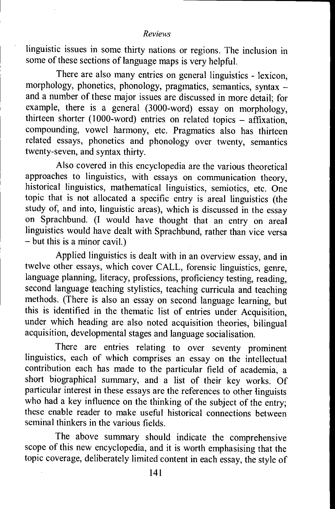## *Reviews*

linguistic issues in some thirty nations or regions. The inclusion in some of these sections of language maps is very helpful.

There are also many entries on general linguistics - lexicon, morphology, phonetics, phonology, pragmatics, semantics, syntax and a number of these major issues are discussed in more detail; for example, there is a general (3000-word) essay on morphology, thirteen shorter (1000-word) entries on related topics  $-$  affixation, compounding, vowel harmony, etc. Pragmatics also has thirteen related essays, phonetics and phonology over twenty, semantics twenty-seven, and syntax thirty.

Also covered in this encyclopedia are the various theoretical approaches to linguistics, with essays on communication theory, historical linguistics, mathematical linguistics, semiotics, etc. One topic that is not allocated a specific entry is areal linguistics (the study of, and into, linguistic areas), which is discussed in the essay on Sprachbund. (I would have thought that an entry on areal linguistics would have dealt with Sprachbund, rather than vice versa - but this is a minor cavil.)

Applied linguistics is dealt with in an overview essay, and in twelve other essays, which cover CALL, forensic linguistics, genre, language planning, literacy, professions, proficiency testing, reading, second language teaching stylistics, teaching curricula and teaching methods. (There is also an essay on second language learning, but this is identified in the thematic list of entries under Acquisition, under which heading are also noted acquisition theories, bilingual acquisition, developmental stages and language socialisation.

There are entries relating to over seventy prominent linguistics, each of which comprises an essay on the intellectual contribution each has made to the particular field of academia, a short biographical summary, and a list of their key works. Of particular interest in these essays are the references to other linguists who had a key influence on the thinking of the subject of the entry; these enable reader to make useful historical connections between seminal thinkers in the various fields.

The above summary should indicate the comprehensive scope of this new encyclopedia, and it is worth emphasising that the topic coverage, deliberately limited content in each essay, the style of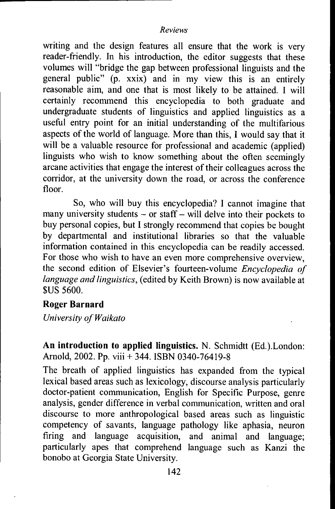### *Reviews*

writing and the design features all ensure that the work is very reader-friendly. In his introduction, the editor suggests that these volumes will "bridge the gap between professional linguists and the general public" (p. xxix) and in my view this is an entirely reasonable aim, and one that is most likely to be attained. I will certainly recommend this encyclopedia to both graduate and undergraduate students of linguistics and apphed linguistics as a useful entry point for an initial understanding of the multifarious aspects of the world of language. More than this, I would say that it will be a valuable resource for professional and academic (applied) linguists who wish to know something about the often seemingly arcane activities that engage the interest of their colleagues across the corridor, at the university down the road, or across the conference floor.

So, who will buy this encyclopedia? I cannot imagine that many university students  $-$  or staff  $-$  will delve into their pockets to buy personal copies, but I strongly recommend that copies be bought by departmental and institutional libraries so that the valuable information contained in this encyclopedia can be readily accessed. For those who wish to have an even more comprehensive overview, the second edition of Elsevier's fourteen-volume *Encyclopedia of language and linguistics,* (edited by Keith Brown) is now available at SUS 5600.

## **Roger Barnard**

*University of Waikato*

**An introduction to applied linguistics.** N. Schmidtt (Ed).London: Arnold, 2002. Pp. viii + 344. ISBN 0340-76419-8

The breath of applied linguistics has expanded from the typical lexical based areas such as lexicology, discourse analysis particularly doctor-patient communication, English for Specific Purpose, genre analysis, gender difference in verbal communication, written and oral discourse to more anthropological based areas such as linguistic competency of savants, language pathology like aphasia, neuron firing and language acquisition, and animal and language; particularly apes that eomprehend language such as Kanzi the bonobo at Georgia State University.